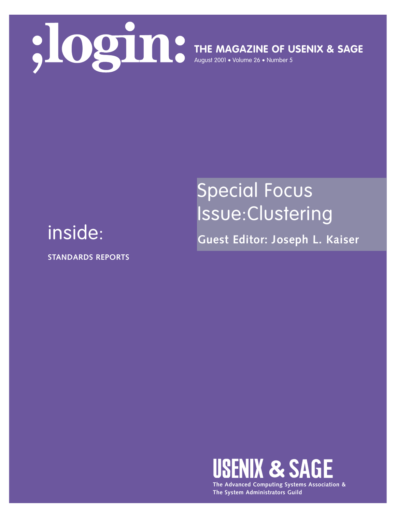

**THE MAGAZINE OF USENIX & SAGE**

August 2001 • Volume 26 • Number 5

# Special Focus Issue:Clustering

**Guest Editor: Joseph L. Kaiser**

## inside:

**STANDARDS REPORTS**



**The Advanced Computing Systems Association & The System Administrators Guild**